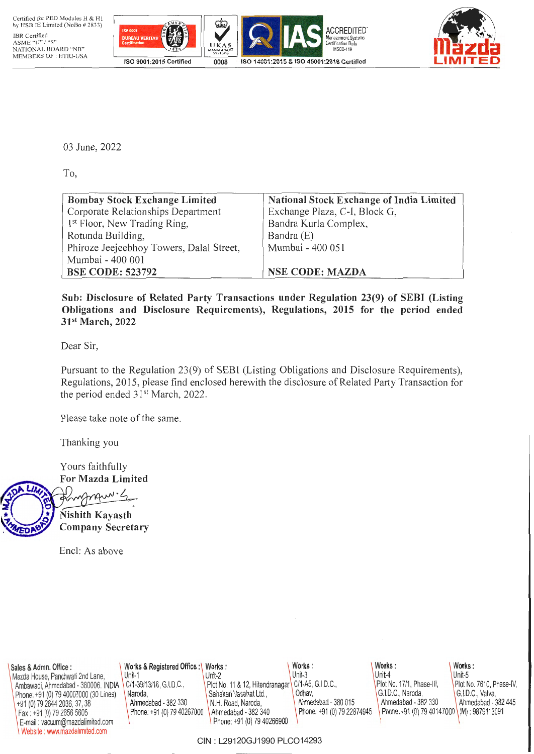



03 June, 2022

To,

| <b>Bombay Stock Exchange Limited</b>     | National Stock Exchange of India Limited |
|------------------------------------------|------------------------------------------|
| Corporate Relationships Department       | Exchange Plaza, C-I, Block G,            |
| 1 <sup>st</sup> Floor, New Trading Ring, | Bandra Kurla Complex,                    |
| Rotunda Building,                        | Bandra (E)                               |
| Phiroze Jeejeebhoy Towers, Dalal Street, | Mumbai - 400 051                         |
| Mumbai - 400 001                         |                                          |
| <b>BSE CODE: 523792</b>                  | <b>NSE CODE: MAZDA</b>                   |

Sub: Disclosure of Related Party Transactions under Regulation 23(9) of SEBI (Listing Obligations and Disclosure Requirements), Regulations, 2015 for the period ended 31st March, 2022

Dear Sir,

Pursuant to the Regulation 23(9) of SEBI (Listing Obligations and Disclosure Requirements), Regulations, 2015, please find enclosed herewith the disclosure of Related Party Transaction for the period ended 31<sup>st</sup> March, 2022.

Please take note of the same.

Thanking you

Yours faithfully For Mazda Limited

manque 4 Nishith Kayasth

Company Secretary

Encl: As above

| Sales & Admn. Office :                | Works & Registered Office:\  | Works:                                              | Works:                     | Works:                                     | Works:                   |
|---------------------------------------|------------------------------|-----------------------------------------------------|----------------------------|--------------------------------------------|--------------------------|
| Mazda House, Panchwati 2nd Lane,      | Unit-1                       | Unit-2                                              | Unit-3                     | Unit-4                                     | Unit-5                   |
| Ambawadi, Ahmedabad - 380006. INDIA   | C/1-39/13/16, G.I.D.C.,      | Plot No. 11 & 12, Hitendranagar   C/1-A5, G.I.D.C., |                            | Plot No. 17/1, Phase-III,                  | Plot No. 7610, Phase-IV, |
| Phone: +91 (0) 79 40007000 (30 Lines) | Naroda.                      | Sahakari Vasahat Ltd.,                              | Odhav.                     | G.LD.C., Naroda,                           | G.I.D.C., Vatva.         |
| (+91 (0) 79 2644 2036, 37, 38         | Ahmedabad - 382 330          | N.H. Road. Naroda.                                  | Ahmedabad - 380 015        | Ahmedabad - 382 330                        | Ahmedabad - 382 445      |
| Fax: +91 (0) 79 2656 5605             | Phone: +91 (0) 79 40267000 \ | Ahmedabad - 382 340                                 | Phone: +91 (0) 79 22874945 | Phone: +91 (0) 79 40147000 (M): 9879113091 |                          |
| E-mail: vacuum@mazdalimited.com       |                              | Phone: +91 (0) 79 40266900                          |                            |                                            |                          |
| Website: www.mazdalimited.com         |                              |                                                     |                            |                                            |                          |